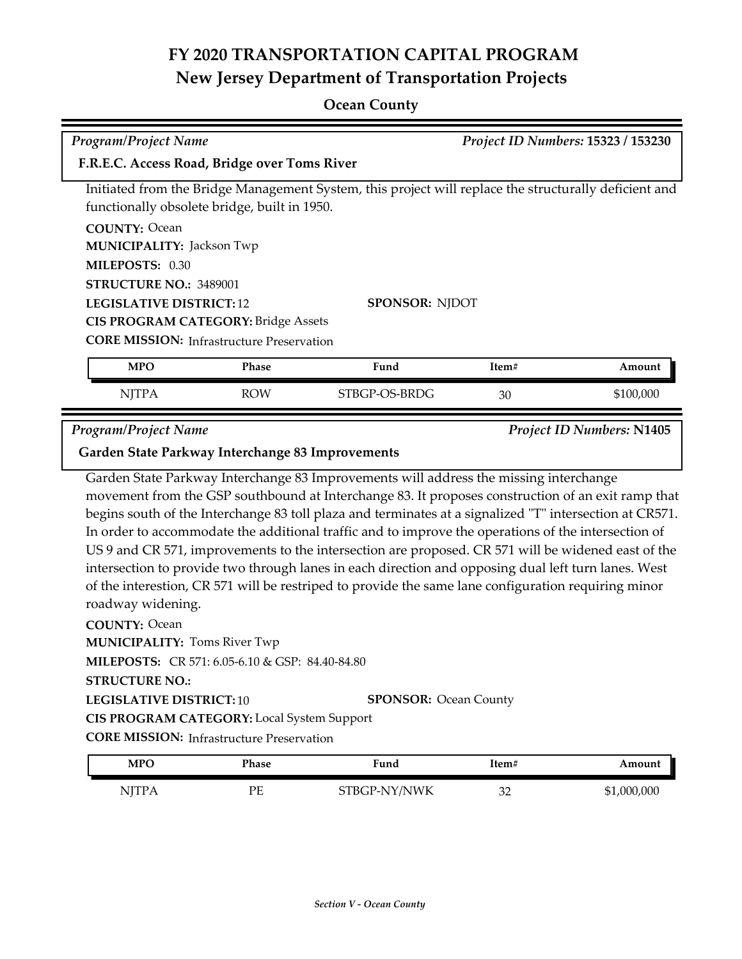#### **Ocean County**

| <b>Program/Project Name</b>                  | Project ID Numbers: 15323 / 153230                                                                    |
|----------------------------------------------|-------------------------------------------------------------------------------------------------------|
| F.R.E.C. Access Road, Bridge over Toms River |                                                                                                       |
|                                              | Initiated from the Bridge Management System, this project will replace the structurally deficient and |
| functionally obsolete bridge, built in 1950. |                                                                                                       |
| <b>COUNTY: Ocean</b>                         |                                                                                                       |
| <b>MUNICIPALITY: Jackson Twp</b>             |                                                                                                       |
| MILEPOSTS: 0.30                              |                                                                                                       |
| <b>STRUCTURE NO.: 3489001</b>                |                                                                                                       |
| <b>LEGISLATIVE DISTRICT: 12</b>              | <b>SPONSOR: NIDOT</b>                                                                                 |
|                                              |                                                                                                       |

**CIS PROGRAM CATEGORY:** Bridge Assets

**CORE MISSION: Infrastructure Preservation** 

| MPO   | Phase | Fund          | Item# | Amount    |
|-------|-------|---------------|-------|-----------|
| NITPA | ROW   | STBGP-OS-BRDG | 30    | \$100,000 |

*Program/Project Name Project ID Numbers:* **N1405**

#### **Garden State Parkway Interchange 83 Improvements**

Garden State Parkway Interchange 83 Improvements will address the missing interchange movement from the GSP southbound at Interchange 83. It proposes construction of an exit ramp that begins south of the Interchange 83 toll plaza and terminates at a signalized "T" intersection at CR571. In order to accommodate the additional traffic and to improve the operations of the intersection of US 9 and CR 571, improvements to the intersection are proposed. CR 571 will be widened east of the intersection to provide two through lanes in each direction and opposing dual left turn lanes. West of the interestion, CR 571 will be restriped to provide the same lane configuration requiring minor roadway widening.

**COUNTY:** Ocean **LEGISLATIVE DISTRICT:** 10 **MILEPOSTS:** CR 571: 6.05-6.10 & GSP: 84.40-84.80 **STRUCTURE NO.: MUNICIPALITY: Toms River Twp CORE MISSION:** Infrastructure Preservation **SPONSOR:** Ocean County **CIS PROGRAM CATEGORY:** Local System Support

| MPO          | Phase | Fund         | Item#     | Amount      |
|--------------|-------|--------------|-----------|-------------|
| <b>NJTPA</b> | РE    | STBGP-NY/NWK | n r<br>ےر | \$1,000,000 |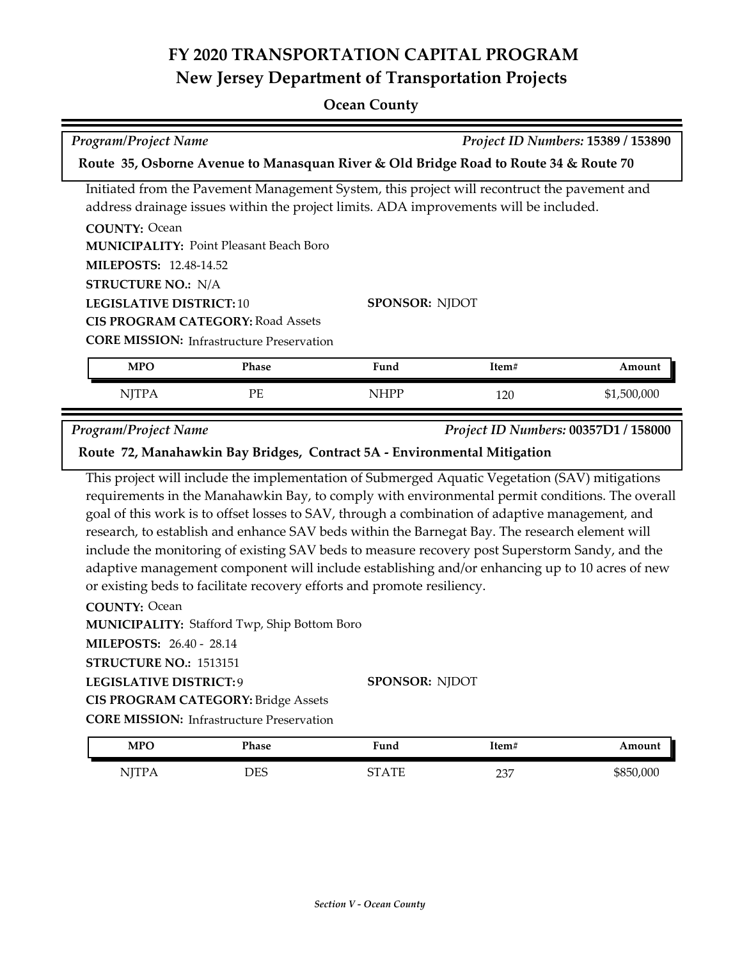#### **Ocean County**

|                                                                                                                                                                                       | Project ID Numbers: 15389 / 153890<br><b>Program/Project Name</b> |                                                                                                |       |             |
|---------------------------------------------------------------------------------------------------------------------------------------------------------------------------------------|-------------------------------------------------------------------|------------------------------------------------------------------------------------------------|-------|-------------|
| Route 35, Osborne Avenue to Manasquan River & Old Bridge Road to Route 34 & Route 70                                                                                                  |                                                                   |                                                                                                |       |             |
| Initiated from the Pavement Management System, this project will recontruct the pavement and<br>address drainage issues within the project limits. ADA improvements will be included. |                                                                   |                                                                                                |       |             |
| <b>COUNTY: Ocean</b>                                                                                                                                                                  |                                                                   |                                                                                                |       |             |
|                                                                                                                                                                                       | <b>MUNICIPALITY: Point Pleasant Beach Boro</b>                    |                                                                                                |       |             |
| <b>MILEPOSTS: 12.48-14.52</b>                                                                                                                                                         |                                                                   |                                                                                                |       |             |
| <b>STRUCTURE NO.: N/A</b>                                                                                                                                                             |                                                                   |                                                                                                |       |             |
| <b>LEGISLATIVE DISTRICT: 10</b>                                                                                                                                                       |                                                                   | <b>SPONSOR: NJDOT</b>                                                                          |       |             |
|                                                                                                                                                                                       | <b>CIS PROGRAM CATEGORY: Road Assets</b>                          |                                                                                                |       |             |
|                                                                                                                                                                                       | <b>CORE MISSION:</b> Infrastructure Preservation                  |                                                                                                |       |             |
| <b>MPO</b>                                                                                                                                                                            | <b>Phase</b>                                                      | Fund                                                                                           | Item# | Amount      |
| <b>NJTPA</b>                                                                                                                                                                          | $\rm PE$                                                          | <b>NHPP</b>                                                                                    | 120   | \$1,500,000 |
| <b>Program/Project Name</b><br>Project ID Numbers: 00357D1 / 158000                                                                                                                   |                                                                   |                                                                                                |       |             |
| Route 72, Manahawkin Bay Bridges, Contract 5A - Environmental Mitigation                                                                                                              |                                                                   |                                                                                                |       |             |
|                                                                                                                                                                                       |                                                                   | This project will include the implementation of Submerged Aquatic Vegetation (SAV) mitigations |       |             |

requirements in the Manahawkin Bay, to comply with environmental permit conditions. The overall goal of this work is to offset losses to SAV, through a combination of adaptive management, and research, to establish and enhance SAV beds within the Barnegat Bay. The research element will include the monitoring of existing SAV beds to measure recovery post Superstorm Sandy, and the adaptive management component will include establishing and/or enhancing up to 10 acres of new or existing beds to facilitate recovery efforts and promote resiliency.

**COUNTY:** Ocean **LEGISLATIVE DISTRICT:** 9 **MILEPOSTS:** 26.40 - 28.14 **STRUCTURE NO.:** 1513151 **MUNICIPALITY: Stafford Twp, Ship Bottom Boro SPONSOR:** NJDOT **CIS PROGRAM CATEGORY:** Bridge Assets

**CORE MISSION: Infrastructure Preservation** 

| <b>MPO</b>  | Phase      | $\mathbf{r}$<br>∀und | Item#      | Amount    |
|-------------|------------|----------------------|------------|-----------|
| <b>TTTT</b> | <b>DES</b> | . TF                 | חרר<br>∕ ب | \$850,000 |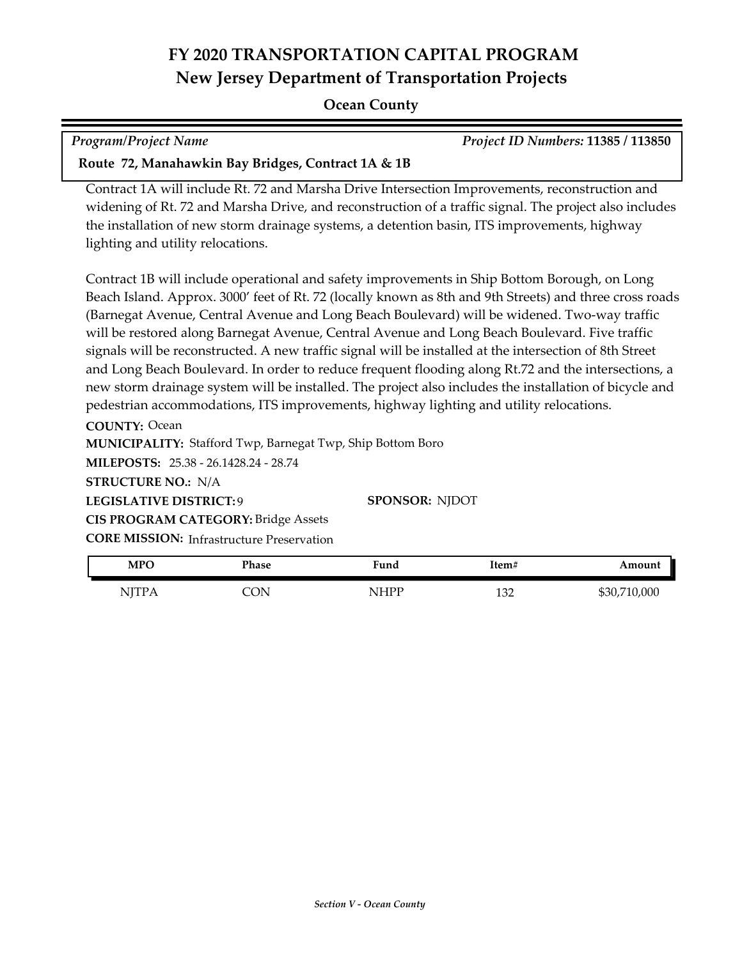#### **Ocean County**

| <b>Program/Project Name</b>                        | <b>Project ID Numbers: 11385 / 113850</b> |
|----------------------------------------------------|-------------------------------------------|
| Route 72, Manahawkin Bay Bridges, Contract 1A & 1B |                                           |

Contract 1A will include Rt. 72 and Marsha Drive Intersection Improvements, reconstruction and widening of Rt. 72 and Marsha Drive, and reconstruction of a traffic signal. The project also includes the installation of new storm drainage systems, a detention basin, ITS improvements, highway lighting and utility relocations.

Contract 1B will include operational and safety improvements in Ship Bottom Borough, on Long Beach Island. Approx. 3000' feet of Rt. 72 (locally known as 8th and 9th Streets) and three cross roads (Barnegat Avenue, Central Avenue and Long Beach Boulevard) will be widened. Two-way traffic will be restored along Barnegat Avenue, Central Avenue and Long Beach Boulevard. Five traffic signals will be reconstructed. A new traffic signal will be installed at the intersection of 8th Street and Long Beach Boulevard. In order to reduce frequent flooding along Rt.72 and the intersections, a new storm drainage system will be installed. The project also includes the installation of bicycle and pedestrian accommodations, ITS improvements, highway lighting and utility relocations.

**COUNTY:** Ocean **LEGISLATIVE DISTRICT:** 9 **MILEPOSTS:** 25.38 - 26.1428.24 - 28.74 **STRUCTURE NO.:** N/A **MUNICIPALITY: Stafford Twp, Barnegat Twp, Ship Bottom Boro CORE MISSION:** Infrastructure Preservation **SPONSOR:** NJDOT **CIS PROGRAM CATEGORY:** Bridge Assets

| <b>MPO</b>              | Phase | ∵und         | ltem# | Amount         |
|-------------------------|-------|--------------|-------|----------------|
| $\overline{\text{NIT}}$ | CON   | <b>NIHPP</b> | 132   | 10,000<br>DOU, |